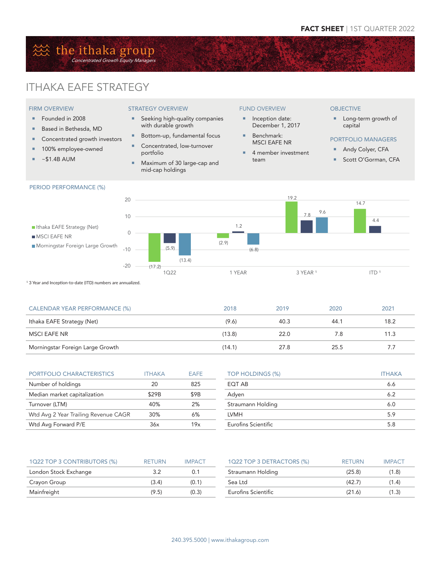## the ithaka group Concentrated Growth Equity Managers

# ITHAKA EAFE STRATEGY

### FIRM OVERVIEW

- Founded in 2008
- Based in Bethesda, MD
- Concentrated growth investors
- **100% employee-owned**
- $\overline{\bullet}$  ~\$1.4B AUM

#### STRATEGY OVERVIEW

- **Seeking high-quality companies** with durable growth
- Bottom-up, fundamental focus
- Concentrated, low-turnover portfolio
- **Maximum of 30 large-cap and** mid-cap holdings

### FUND OVERVIEW

- **Inception date:** December 1, 2017
- Benchmark: MSCI EAFE NR
- 4 member investment team

#### **OBJECTIVE**

- **Long-term growth of** capital
- PORTFOLIO MANAGERS
- Andy Colyer, CFA
- Scott O'Gorman, CFA



<sup>1</sup> 3 Year and Inception-to-date (ITD) numbers are annualized.

| CALENDAR YEAR PERFORMANCE (%)    | 2018   | 2019 | 2020 | 2021 |
|----------------------------------|--------|------|------|------|
| Ithaka EAFE Strategy (Net)       | (9.6)  | 40.3 | 44.1 | 18.2 |
| MSCI EAFE NR                     | (13.8) | 22.0 | 7.8  | 11.3 |
| Morningstar Foreign Large Growth | (14.1) | 27.8 | 25.5 | 7.7  |

| PORTFOLIO CHARACTERISTICS            | <b>ITHAKA</b> | FAFF |
|--------------------------------------|---------------|------|
| Number of holdings                   | 20            | 825  |
| Median market capitalization         | \$29B         | \$9B |
| Turnover (LTM)                       | 40%           | 2%   |
| Wtd Avg 2 Year Trailing Revenue CAGR | 30%           | 6%   |
| Wtd Avg Forward P/E                  | 36x           | 19x  |

| TOP HOLDINGS (%)    | <b>ITHAKA</b> |
|---------------------|---------------|
| EQT AB              | 6.6           |
| Adyen               | 6.2           |
| Straumann Holding   | 6.0           |
| <b>LVMH</b>         | 5.9           |
| Eurofins Scientific | 5.8           |

| 1Q22 TOP 3 CONTRIBUTORS (%) | <b>RETURN</b> | <b>IMPACT</b> | 1Q22 TOP 3 DETRACTORS (%) | <b>RETURN</b> | <b>IMPACT</b> |
|-----------------------------|---------------|---------------|---------------------------|---------------|---------------|
| London Stock Exchange       |               | 0.1           | Straumann Holding         | (25.8)        | (1.8)         |
| Crayon Group                | (3.4)         | (0.1)         | Sea Ltd                   | (42.7)        | (1.4)         |
| Mainfreight                 | (9.5)         | (0.3)         | Eurofins Scientific       | (21.6)        | (1.3)         |